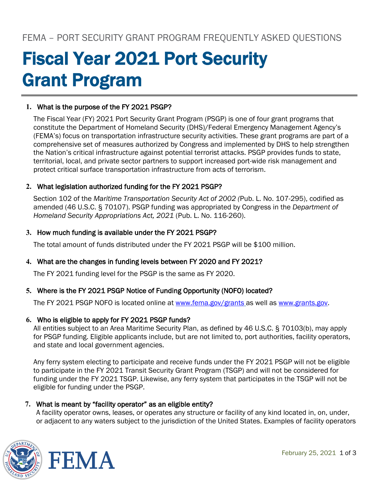# Fiscal Year 2021 Port Security Grant Program

#### **1.** What is the purpose of the FY 2021 PSGP?

The Fiscal Year (FY) 2021 Port Security Grant Program (PSGP) is one of four grant programs that constitute the Department of Homeland Security (DHS)/Federal Emergency Management Agency's (FEMA's) focus on transportation infrastructure security activities. These grant programs are part of a comprehensive set of measures authorized by Congress and implemented by DHS to help strengthen the Nation's critical infrastructure against potential terrorist attacks. PSGP provides funds to state, territorial, local, and private sector partners to support increased port-wide risk management and protect critical surface transportation infrastructure from acts of terrorism.

# **2.** What legislation authorized funding for the FY 2021 PSGP?

Section 102 of the *Maritime Transportation Security Act of 2002 (*Pub. L. No. 107-295), codified as amended (46 U.S.C. § 70107). PSGP funding was appropriated by Congress in the *Department of Homeland Security Appropriations Act, 2021* (Pub. L. No. 116-260).

# **3.** How much funding is available under the FY 2021 PSGP?

The total amount of funds distributed under the FY 2021 PSGP will be \$100 million.

# **4.** What are the changes in funding levels between FY 2020 and FY 2021?

The FY 2021 funding level for the PSGP is the same as FY 2020.

# **5.** Where is the FY 2021 PSGP Notice of Funding Opportunity (NOFO) located?

The FY 2021 PSGP NOFO is located online at [www.fema.gov/grants](http://www.fema.gov/grants) as well as [www.grants.gov.](http://www.grants.gov/)

# **6.** Who is eligible to apply for FY 2021 PSGP funds?

All entities subject to an Area Maritime Security Plan, as defined by 46 U.S.C. § 70103(b), may apply for PSGP funding. Eligible applicants include, but are not limited to, port authorities, facility operators, and state and local government agencies.

Any ferry system electing to participate and receive funds under the FY 2021 PSGP will not be eligible to participate in the FY 2021 Transit Security Grant Program (TSGP) and will not be considered for funding under the FY 2021 TSGP. Likewise, any ferry system that participates in the TSGP will not be eligible for funding under the PSGP.

# **7.** What is meant by "facility operator" as an eligible entity?

A facility operator owns, leases, or operates any structure or facility of any kind located in, on, under, or adjacent to any waters subject to the jurisdiction of the United States. Examples of facility operators

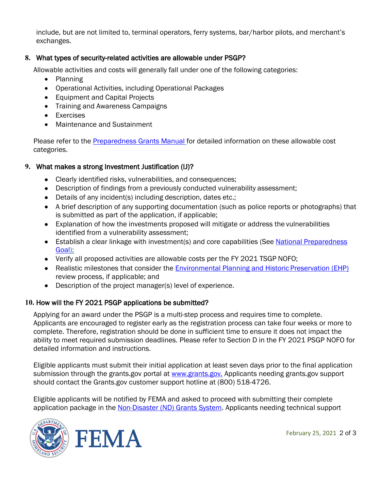include, but are not limited to, terminal operators, ferry systems, bar/harbor pilots, and merchant's exchanges.

# **8.** What types of security-related activities are allowable under PSGP?

Allowable activities and costs will generally fall under one of the following categories:

- Planning
- Operational Activities, including Operational Packages
- Equipment and Capital Projects
- Training and Awareness Campaigns
- Exercises
- Maintenance and Sustainment

Please refer to the [Preparedness Grants Manual](https://www.fema.gov/grants/preparedness/manual) for detailed information on these allowable cost categories.

# **9.** What makes a strong Investment Justification (IJ)?

- Clearly identified risks, vulnerabilities, and consequences;
- Description of findings from a previously conducted vulnerability assessment;
- Details of any incident(s) including description, dates etc.;
- A brief description of any supporting documentation (such as police reports or photographs) that is submitted as part of the application, if applicable;
- Explanation of how the investments proposed will mitigate or address the vulnerabilities identified from a vulnerability assessment;
- Establish a clear linkage with investment(s) and core capabilities (See National Preparedness [Goal\);](http://www.fema.gov/national-preparedness-goal)
- Verify all proposed activities are allowable costs per the FY 2021 TSGP NOFO;
- Realistic milestones that consider the [Environmental Planning and Historic](https://www.fema.gov/media-library/assets/documents/90195) Preservation [\(EHP\)](https://www.fema.gov/media-library/assets/documents/90195)  review process, if applicable; and
- Description of the project manager(s) level of experience.

# **10.** How will the FY 2021 PSGP applications be submitted?

Applying for an award under the PSGP is a multi-step process and requires time to complete. Applicants are encouraged to register early as the registration process can take four weeks or more to complete. Therefore, registration should be done in sufficient time to ensure it does not impact the ability to meet required submission deadlines. Please refer to Section D in the FY 2021 PSGP NOFO for detailed information and instructions.

Eligible applicants must submit their initial application at least seven days prior to the final application submission through the grants.gov portal at [www.grants.gov](http://www.grants.gov/)*.* Applicants needing grants.gov support should contact the Grants.gov customer support hotline at (800) 518-4726.

Eligible applicants will be notified by FEMA and asked to proceed with submitting their complete application package in the [Non-Disaster \(ND\) Grants System.](https://portal.fema.gov/) Applicants needing technical support